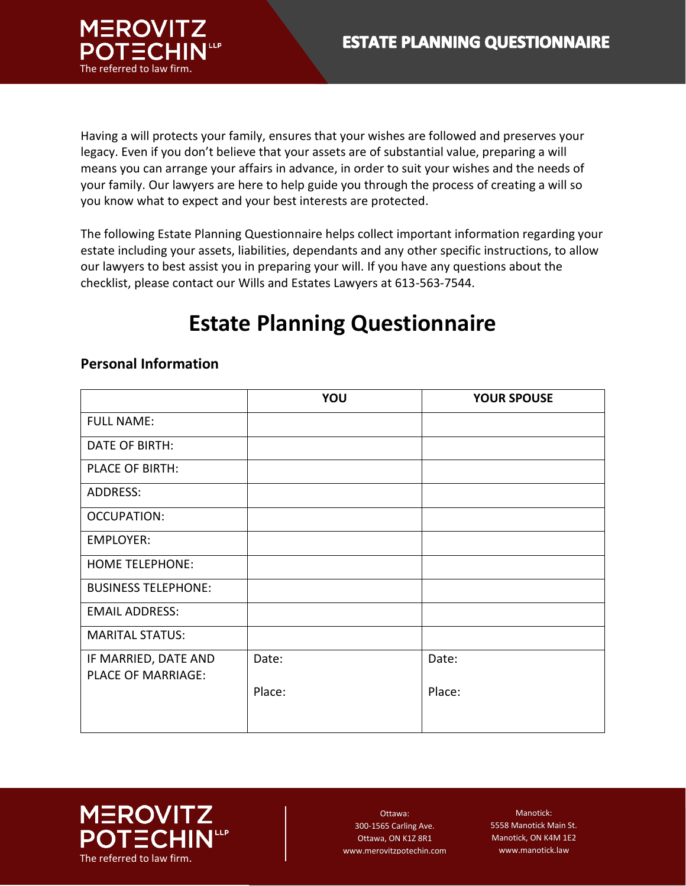

Having a will protects your family, ensures that your wishes are followed and preserves your legacy. Even if you don't believe that your assets are of substantial value, preparing a will means you can arrange your affairs in advance, in order to suit your wishes and the needs of your family. Our lawyers are here to help guide you through the process of creating a will so you know what to expect and your best interests are protected.

The following Estate Planning Questionnaire helps collect important information regarding your estate including your assets, liabilities, dependants and any other specific instructions, to allow our lawyers to best assist you in preparing your will. If you have any questions about the checklist, please contact our Wills and Estates Lawyers at 613-563-7544.

# **Estate Planning Questionnaire**

# **YOU YOUR SPOUSE** FULL NAME: DATE OF BIRTH: PLACE OF BIRTH: ADDRESS: OCCUPATION: EMPLOYER: HOME TELEPHONE: BUSINESS TELEPHONE: EMAIL ADDRESS: MARITAL STATUS: IF MARRIED, DATE AND PLACE OF MARRIAGE: Date: Place: Date: Place:

## **Personal Information**



Ottawa: 300-1565 Carling Ave. Ottawa, ON K1Z 8R1 www.merovitzpotechin.com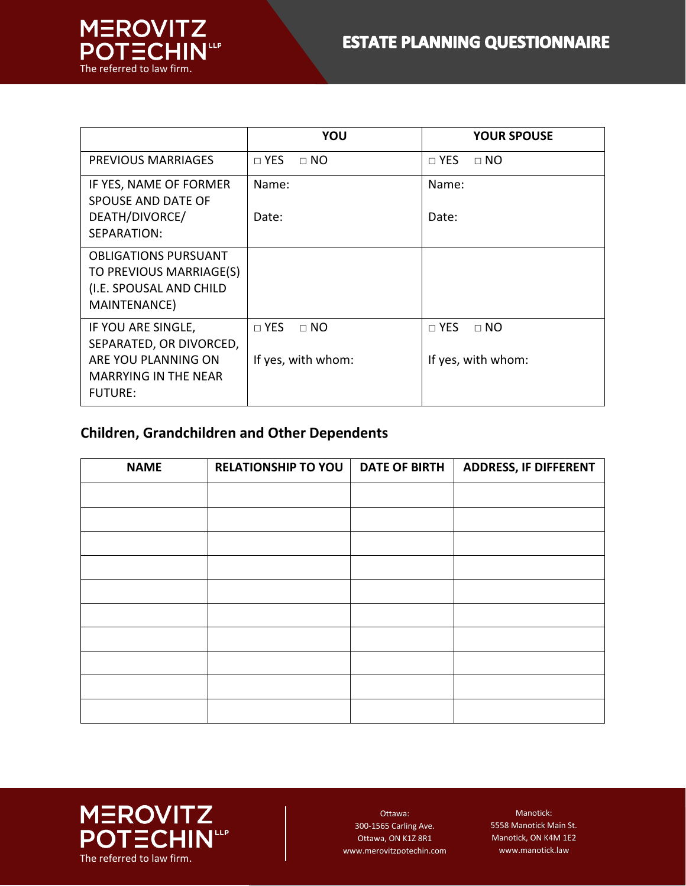

|                                                                                                   | YOU                       | <b>YOUR SPOUSE</b>          |
|---------------------------------------------------------------------------------------------------|---------------------------|-----------------------------|
| PREVIOUS MARRIAGES                                                                                | $\sqcap$ YES<br>$\Box$ NO | $\sqcap$ YES<br>$\sqcap$ NO |
| IF YES, NAME OF FORMER<br>SPOUSE AND DATE OF                                                      | Name:                     | Name:                       |
| DEATH/DIVORCE/<br>SEPARATION:                                                                     | Date:                     | Date:                       |
| <b>OBLIGATIONS PURSUANT</b><br>TO PREVIOUS MARRIAGE(S)<br>(I.E. SPOUSAL AND CHILD<br>MAINTENANCE) |                           |                             |
| IF YOU ARE SINGLE,<br>SEPARATED, OR DIVORCED,                                                     | $\Box$ YES<br>$\Box$ NO   | $\Box$ YES<br>$\Box$ NO     |
| ARE YOU PLANNING ON<br><b>MARRYING IN THE NEAR</b><br><b>FUTURE:</b>                              | If yes, with whom:        | If yes, with whom:          |

## **Children, Grandchildren and Other Dependents**

| <b>NAME</b> | <b>RELATIONSHIP TO YOU</b> | <b>DATE OF BIRTH</b> | <b>ADDRESS, IF DIFFERENT</b> |
|-------------|----------------------------|----------------------|------------------------------|
|             |                            |                      |                              |
|             |                            |                      |                              |
|             |                            |                      |                              |
|             |                            |                      |                              |
|             |                            |                      |                              |
|             |                            |                      |                              |
|             |                            |                      |                              |
|             |                            |                      |                              |
|             |                            |                      |                              |
|             |                            |                      |                              |



Ottawa: 300-1565 Carling Ave. Ottawa, ON K1Z 8R1 www.merovitzpotechin.com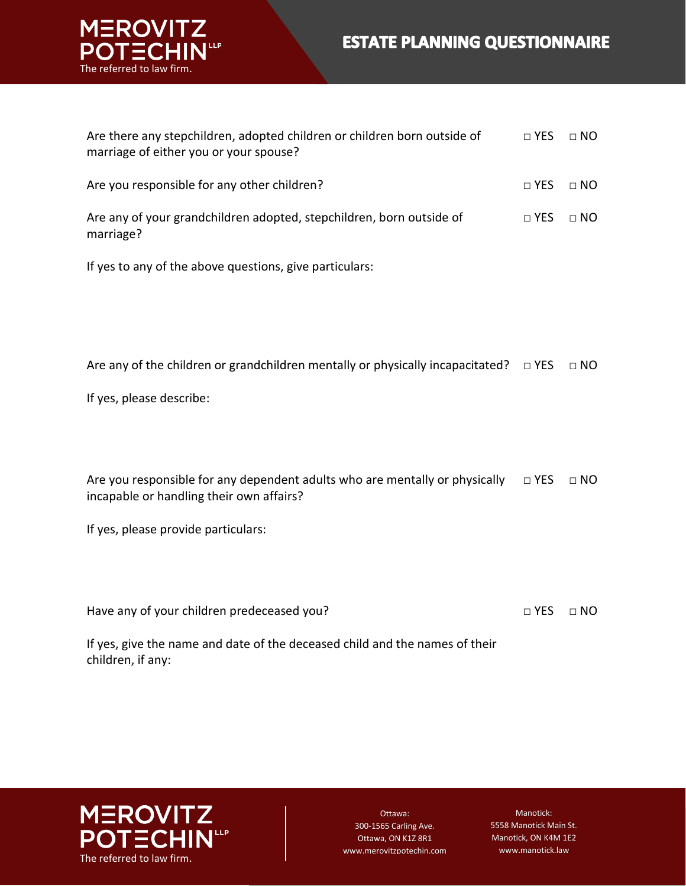# **ESTATE PLANNING QUESTIONNAIRE**



| Are there any stepchildren, adopted children or children born outside of<br>marriage of either you or your spouse? | $\sqcap$ YES | $\sqcap$ NO |
|--------------------------------------------------------------------------------------------------------------------|--------------|-------------|
| Are you responsible for any other children?                                                                        | $\sqcap$ YES | $\Box$ NO   |
| Are any of your grandchildren adopted, stepchildren, born outside of<br>marriage?                                  | $\sqcap$ YES | $\Box$ NO   |

If yes to any of the above questions, give particulars:

If yes, please describe:

Are you responsible for any dependent adults who are mentally or physically  $\Box$  YES  $\Box$  NO incapable or handling their own affairs?

If yes, please provide particulars:

Have any of your children predeceased you? □ □ □ □ PES □ NO

If yes, give the name and date of the deceased child and the names of their children, if any:



Ottawa: 300-1565 Carling Ave. Ottawa, ON K1Z 8R1 www.merovitzpotechin.com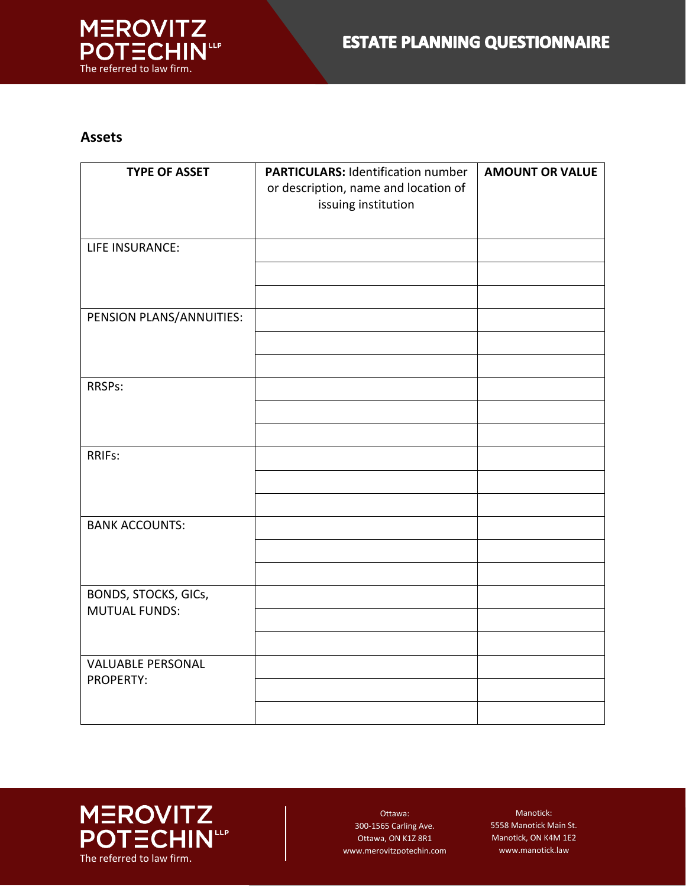

#### **Assets**

| <b>TYPE OF ASSET</b>                                | <b>PARTICULARS: Identification number</b> | <b>AMOUNT OR VALUE</b> |
|-----------------------------------------------------|-------------------------------------------|------------------------|
|                                                     | or description, name and location of      |                        |
|                                                     | issuing institution                       |                        |
|                                                     |                                           |                        |
| LIFE INSURANCE:                                     |                                           |                        |
|                                                     |                                           |                        |
|                                                     |                                           |                        |
| PENSION PLANS/ANNUITIES:                            |                                           |                        |
|                                                     |                                           |                        |
|                                                     |                                           |                        |
| RRSPs:                                              |                                           |                        |
|                                                     |                                           |                        |
|                                                     |                                           |                        |
| RRIFs:                                              |                                           |                        |
|                                                     |                                           |                        |
|                                                     |                                           |                        |
| <b>BANK ACCOUNTS:</b>                               |                                           |                        |
|                                                     |                                           |                        |
|                                                     |                                           |                        |
| <b>BONDS, STOCKS, GICs,</b><br><b>MUTUAL FUNDS:</b> |                                           |                        |
|                                                     |                                           |                        |
|                                                     |                                           |                        |
| <b>VALUABLE PERSONAL</b>                            |                                           |                        |
| <b>PROPERTY:</b>                                    |                                           |                        |
|                                                     |                                           |                        |



Ottawa: 300-1565 Carling Ave. Ottawa, ON K1Z 8R1 www.merovitzpotechin.com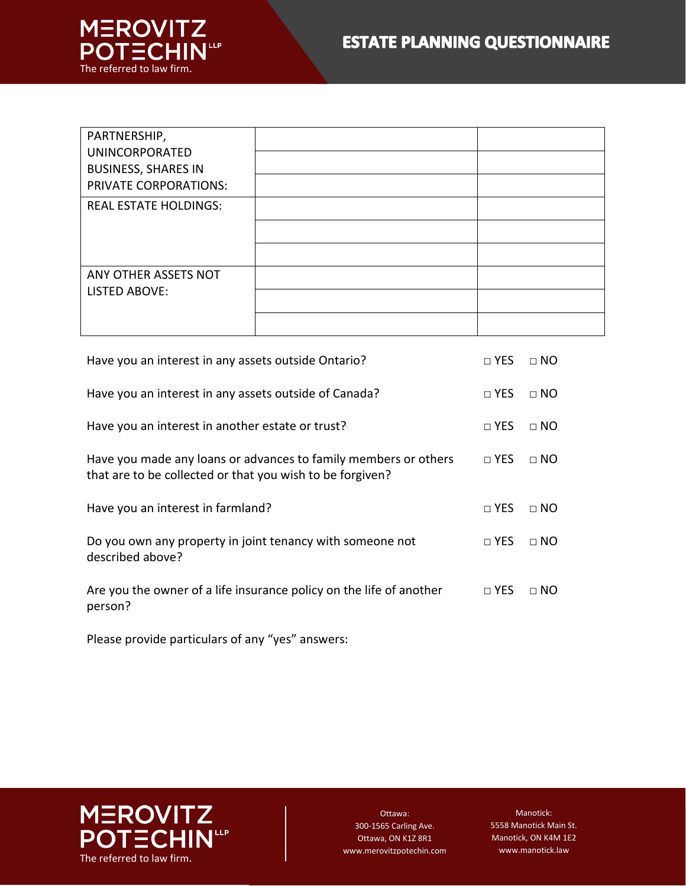

| PARTNERSHIP,                                        |  |
|-----------------------------------------------------|--|
| <b>UNINCORPORATED</b><br><b>BUSINESS, SHARES IN</b> |  |
| PRIVATE CORPORATIONS:                               |  |
| <b>REAL ESTATE HOLDINGS:</b>                        |  |
|                                                     |  |
|                                                     |  |
| ANY OTHER ASSETS NOT                                |  |
| LISTED ABOVE:                                       |  |
|                                                     |  |

| Have you an interest in any assets outside Ontario?                                                                          | $\sqcap$ YES | $\Box$ NO   |
|------------------------------------------------------------------------------------------------------------------------------|--------------|-------------|
| Have you an interest in any assets outside of Canada?                                                                        | $\sqcap$ YES | $\Box$ NO   |
| Have you an interest in another estate or trust?                                                                             | $\sqcap$ YES | $\sqcap$ NO |
| Have you made any loans or advances to family members or others<br>that are to be collected or that you wish to be forgiven? | $\sqcap$ YES | $\sqcap$ NO |
| Have you an interest in farmland?                                                                                            | $\sqcap$ YES | $\sqcap$ NO |
| Do you own any property in joint tenancy with someone not<br>described above?                                                | $\sqcap$ YES | $\sqcap$ NO |
| Are you the owner of a life insurance policy on the life of another                                                          | $\sqcap$ YES | $\sqcap$ NO |

Please provide particulars of any "yes" answers:



Ottawa: 300-1565 Carling Ave. Ottawa, ON K1Z 8R1 www.merovitzpotechin.com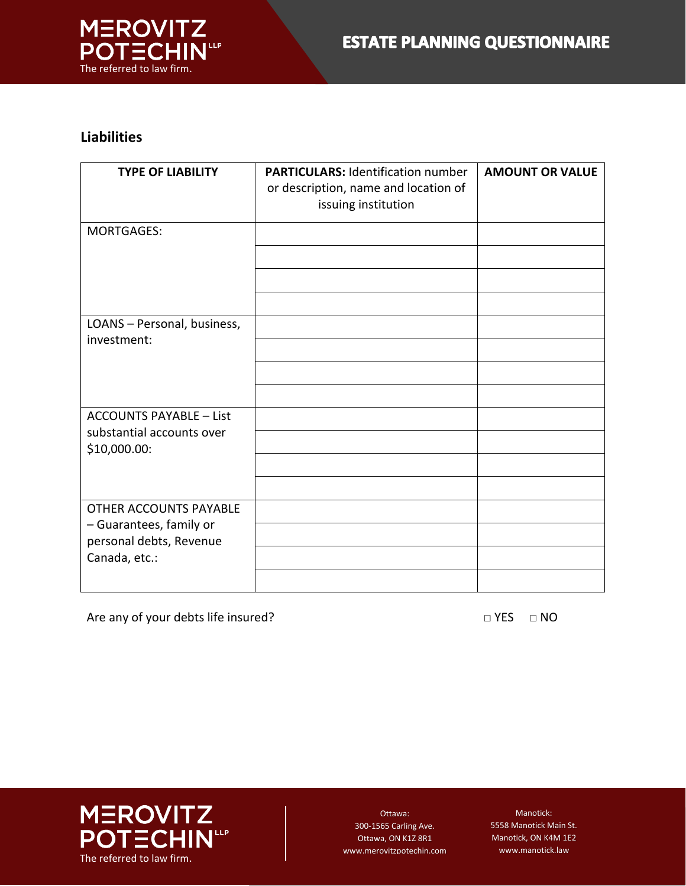

#### **Liabilities**

| <b>TYPE OF LIABILITY</b>                                    | <b>PARTICULARS: Identification number</b><br>or description, name and location of<br>issuing institution | <b>AMOUNT OR VALUE</b> |
|-------------------------------------------------------------|----------------------------------------------------------------------------------------------------------|------------------------|
| <b>MORTGAGES:</b>                                           |                                                                                                          |                        |
|                                                             |                                                                                                          |                        |
|                                                             |                                                                                                          |                        |
| LOANS - Personal, business,<br>investment:                  |                                                                                                          |                        |
|                                                             |                                                                                                          |                        |
|                                                             |                                                                                                          |                        |
| <b>ACCOUNTS PAYABLE - List</b><br>substantial accounts over |                                                                                                          |                        |
| \$10,000.00:                                                |                                                                                                          |                        |
|                                                             |                                                                                                          |                        |
| <b>OTHER ACCOUNTS PAYABLE</b>                               |                                                                                                          |                        |
| - Guarantees, family or<br>personal debts, Revenue          |                                                                                                          |                        |
| Canada, etc.:                                               |                                                                                                          |                        |
|                                                             |                                                                                                          |                        |

Are any of your debts life insured? □ YES □ NO



Ottawa: 300-1565 Carling Ave. Ottawa, ON K1Z 8R1 www.merovitzpotechin.com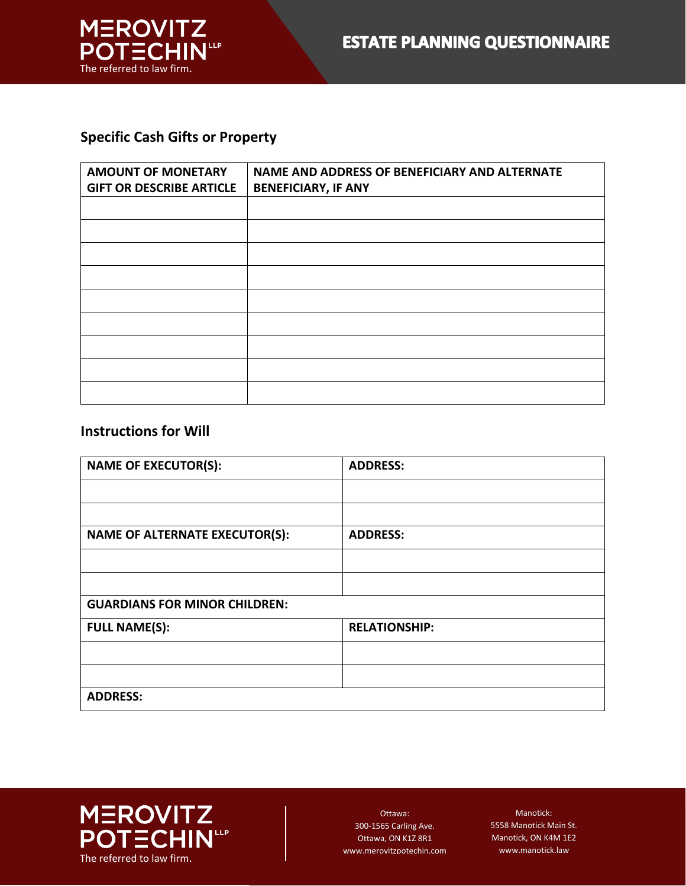

#### **Specific Cash Gifts or Property**

| <b>AMOUNT OF MONETARY</b><br><b>GIFT OR DESCRIBE ARTICLE</b> | NAME AND ADDRESS OF BENEFICIARY AND ALTERNATE<br><b>BENEFICIARY, IF ANY</b> |
|--------------------------------------------------------------|-----------------------------------------------------------------------------|
|                                                              |                                                                             |
|                                                              |                                                                             |
|                                                              |                                                                             |
|                                                              |                                                                             |
|                                                              |                                                                             |
|                                                              |                                                                             |
|                                                              |                                                                             |
|                                                              |                                                                             |
|                                                              |                                                                             |

#### **Instructions for Will**

| <b>NAME OF EXECUTOR(S):</b>           | <b>ADDRESS:</b>      |
|---------------------------------------|----------------------|
|                                       |                      |
|                                       |                      |
| <b>NAME OF ALTERNATE EXECUTOR(S):</b> | <b>ADDRESS:</b>      |
|                                       |                      |
|                                       |                      |
| <b>GUARDIANS FOR MINOR CHILDREN:</b>  |                      |
| <b>FULL NAME(S):</b>                  | <b>RELATIONSHIP:</b> |
|                                       |                      |
|                                       |                      |
| <b>ADDRESS:</b>                       |                      |



Ottawa: 300-1565 Carling Ave. Ottawa, ON K1Z 8R1 www.merovitzpotechin.com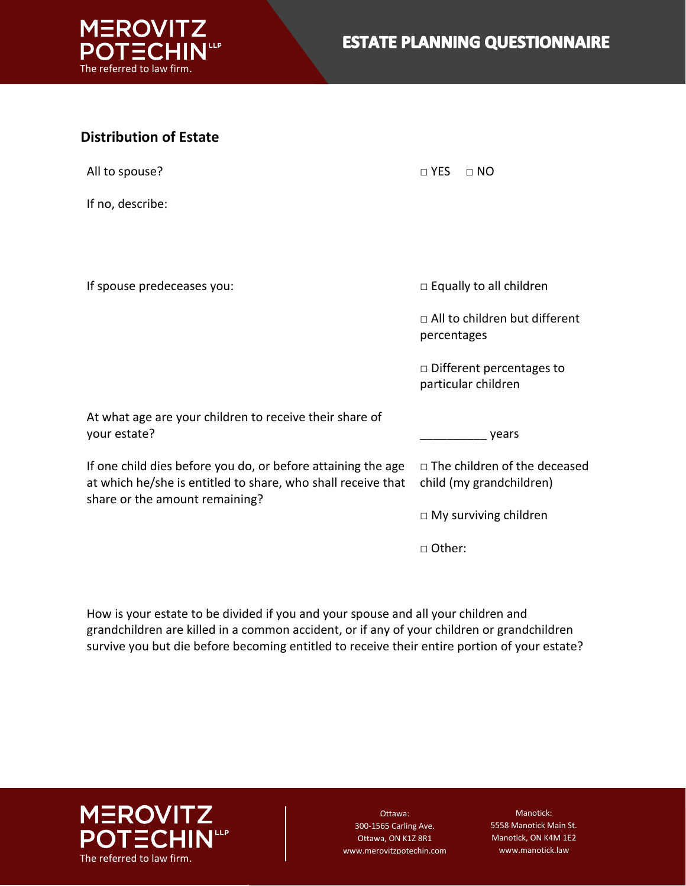

| <b>Distribution of Estate</b>                                                                                                                                  |                                                                 |
|----------------------------------------------------------------------------------------------------------------------------------------------------------------|-----------------------------------------------------------------|
| All to spouse?                                                                                                                                                 | $\square$ YES<br>$\Box$ NO                                      |
| If no, describe:                                                                                                                                               |                                                                 |
|                                                                                                                                                                |                                                                 |
| If spouse predeceases you:                                                                                                                                     | □ Equally to all children                                       |
|                                                                                                                                                                | $\Box$ All to children but different<br>percentages             |
|                                                                                                                                                                | $\Box$ Different percentages to<br>particular children          |
| At what age are your children to receive their share of<br>your estate?                                                                                        | years                                                           |
| If one child dies before you do, or before attaining the age<br>at which he/she is entitled to share, who shall receive that<br>share or the amount remaining? | $\Box$ The children of the deceased<br>child (my grandchildren) |
|                                                                                                                                                                | $\Box$ My surviving children                                    |
|                                                                                                                                                                | □ Other:                                                        |

How is your estate to be divided if you and your spouse and all your children and grandchildren are killed in a common accident, or if any of your children or grandchildren survive you but die before becoming entitled to receive their entire portion of your estate?



Ottawa: 300-1565 Carling Ave. Ottawa, ON K1Z 8R1 www.merovitzpotechin.com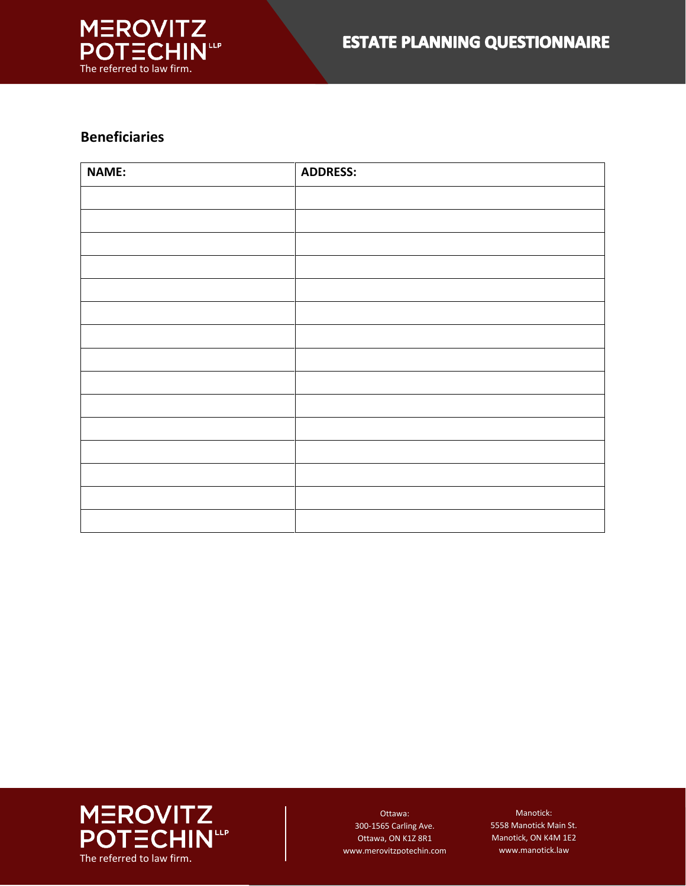

### **Beneficiaries**

| <b>NAME:</b> | <b>ADDRESS:</b> |
|--------------|-----------------|
|              |                 |
|              |                 |
|              |                 |
|              |                 |
|              |                 |
|              |                 |
|              |                 |
|              |                 |
|              |                 |
|              |                 |
|              |                 |
|              |                 |
|              |                 |
|              |                 |
|              |                 |



Ottawa: 300-1565 Carling Ave. Ottawa, ON K1Z 8R1 www.merovitzpotechin.com